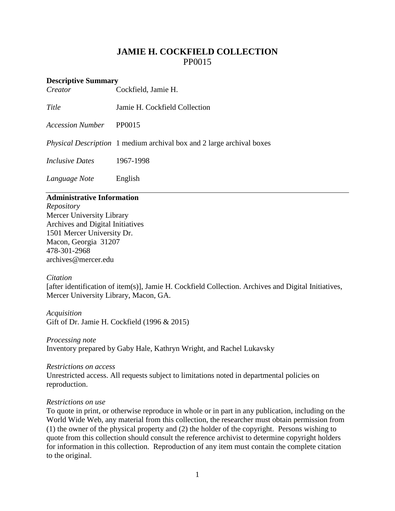# **JAMIE H. COCKFIELD COLLECTION** PP0015

# **Descriptive Summary**<br>*Creator* (

*Creator* Cockfield, Jamie H.

*Title* Jamie H. Cockfield Collection

*Accession Number* PP0015

*Physical Description* 1 medium archival box and 2 large archival boxes

*Inclusive Dates* 1967-1998

*Language Note* English

# **Administrative Information**

*Repository* Mercer University Library Archives and Digital Initiatives 1501 Mercer University Dr. Macon, Georgia 31207 478-301-2968 [archives@mercer.edu](mailto:archives@mercer.edu)

# *Citation*

[after identification of item(s)], Jamie H. Cockfield Collection. Archives and Digital Initiatives, Mercer University Library, Macon, GA.

*Acquisition* Gift of Dr. Jamie H. Cockfield (1996 & 2015)

*Processing note* Inventory prepared by Gaby Hale, Kathryn Wright, and Rachel Lukavsky

*Restrictions on access* Unrestricted access. All requests subject to limitations noted in departmental policies on reproduction.

# *Restrictions on use*

To quote in print, or otherwise reproduce in whole or in part in any publication, including on the World Wide Web, any material from this collection, the researcher must obtain permission from (1) the owner of the physical property and (2) the holder of the copyright. Persons wishing to quote from this collection should consult the reference archivist to determine copyright holders for information in this collection. Reproduction of any item must contain the complete citation to the original.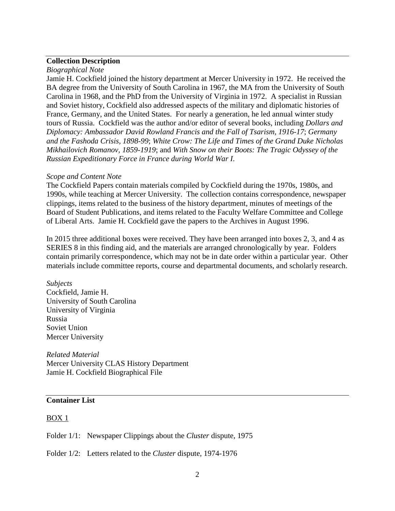# **Collection Description**

#### *Biographical Note*

Jamie H. Cockfield joined the history department at Mercer University in 1972. He received the BA degree from the University of South Carolina in 1967, the MA from the University of South Carolina in 1968, and the PhD from the University of Virginia in 1972. A specialist in Russian and Soviet history, Cockfield also addressed aspects of the military and diplomatic histories of France, Germany, and the United States. For nearly a generation, he led annual winter study tours of Russia. Cockfield was the author and/or editor of several books, including *[Dollars and](http://library.mercer.edu/search/acockfield%2C+jamie+h/acockfield+jamie+h/1%2C1%2C5%2CB/frameset&FF=acockfield+jamie+h&1%2C%2C5)  [Diplomacy: Ambassador David Rowland Francis and the Fall of Tsarism, 1916-17](http://library.mercer.edu/search/acockfield%2C+jamie+h/acockfield+jamie+h/1%2C1%2C5%2CB/frameset&FF=acockfield+jamie+h&1%2C%2C5)*; *[Germany](http://library.mercer.edu/search/acockfield%2C+jamie+h/acockfield+jamie+h/1%2C1%2C5%2CB/frameset&FF=acockfield+jamie+h&3%2C%2C5)  [and the Fashoda Crisis, 1898-99](http://library.mercer.edu/search/acockfield%2C+jamie+h/acockfield+jamie+h/1%2C1%2C5%2CB/frameset&FF=acockfield+jamie+h&3%2C%2C5)*; *[White Crow: The Life and Times of the Grand Duke Nicholas](http://library.mercer.edu/search/acockfield%2C+jamie+h/acockfield+jamie+h/1%2C1%2C5%2CB/frameset&FF=acockfield+jamie+h&4%2C%2C5)  [Mikhailovich Romanov, 1859-1919](http://library.mercer.edu/search/acockfield%2C+jamie+h/acockfield+jamie+h/1%2C1%2C5%2CB/frameset&FF=acockfield+jamie+h&4%2C%2C5)*; and *[With Snow on their Boots: The Tragic Odyssey of the](http://library.mercer.edu/search/acockfield%2C+jamie+h/acockfield+jamie+h/1%2C1%2C5%2CB/frameset&FF=acockfield+jamie+h&5%2C%2C5)  [Russian Expeditionary Force in France during Wor](http://library.mercer.edu/search/acockfield%2C+jamie+h/acockfield+jamie+h/1%2C1%2C5%2CB/frameset&FF=acockfield+jamie+h&5%2C%2C5)ld War I*.

#### *Scope and Content Note*

The Cockfield Papers contain materials compiled by Cockfield during the 1970s, 1980s, and 1990s, while teaching at Mercer University. The collection contains correspondence, newspaper clippings, items related to the business of the history department, minutes of meetings of the Board of Student Publications, and items related to the Faculty Welfare Committee and College of Liberal Arts. Jamie H. Cockfield gave the papers to the Archives in August 1996.

In 2015 three additional boxes were received. They have been arranged into boxes 2, 3, and 4 as SERIES 8 in this finding aid, and the materials are arranged chronologically by year. Folders contain primarily correspondence, which may not be in date order within a particular year. Other materials include committee reports, course and departmental documents, and scholarly research.

#### *Subjects*

Cockfield, Jamie H. University of South Carolina University of Virginia Russia Soviet Union Mercer University

*Related Material* Mercer University CLAS History Department Jamie H. Cockfield Biographical File

# **Container List**

#### $Box 1$ </u>

Folder 1/1: Newspaper Clippings about the *Cluster* dispute, 1975

Folder 1/2: Letters related to the *Cluster* dispute, 1974-1976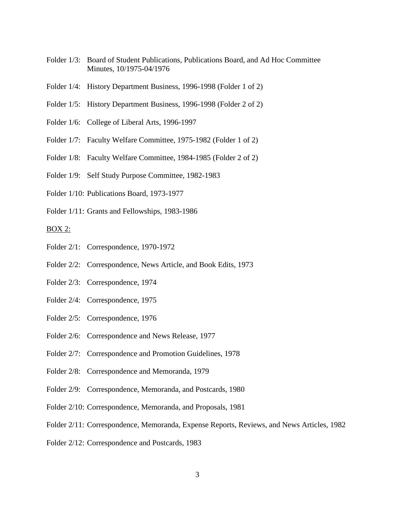- Folder 1/3: Board of Student Publications, Publications Board, and Ad Hoc Committee Minutes, 10/1975-04/1976
- Folder 1/4: History Department Business, 1996-1998 (Folder 1 of 2)
- Folder 1/5: History Department Business, 1996-1998 (Folder 2 of 2)
- Folder 1/6: College of Liberal Arts, 1996-1997
- Folder 1/7: Faculty Welfare Committee, 1975-1982 (Folder 1 of 2)
- Folder 1/8: Faculty Welfare Committee, 1984-1985 (Folder 2 of 2)
- Folder 1/9: Self Study Purpose Committee, 1982-1983
- Folder 1/10: Publications Board, 1973-1977
- Folder 1/11: Grants and Fellowships, 1983-1986

#### BOX 2:

- Folder 2/1: Correspondence, 1970-1972
- Folder 2/2: Correspondence, News Article, and Book Edits, 1973
- Folder 2/3: Correspondence, 1974
- Folder 2/4: Correspondence, 1975
- Folder 2/5: Correspondence, 1976
- Folder 2/6: Correspondence and News Release, 1977
- Folder 2/7: Correspondence and Promotion Guidelines, 1978
- Folder 2/8: Correspondence and Memoranda, 1979
- Folder 2/9: Correspondence, Memoranda, and Postcards, 1980
- Folder 2/10: Correspondence, Memoranda, and Proposals, 1981
- Folder 2/11: Correspondence, Memoranda, Expense Reports, Reviews, and News Articles, 1982
- Folder 2/12: Correspondence and Postcards, 1983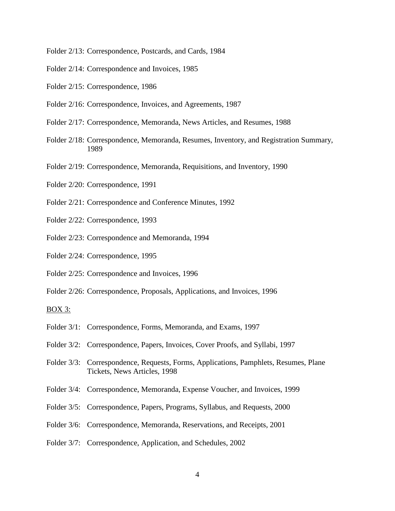- Folder 2/13: Correspondence, Postcards, and Cards, 1984
- Folder 2/14: Correspondence and Invoices, 1985
- Folder 2/15: Correspondence, 1986
- Folder 2/16: Correspondence, Invoices, and Agreements, 1987
- Folder 2/17: Correspondence, Memoranda, News Articles, and Resumes, 1988
- Folder 2/18: Correspondence, Memoranda, Resumes, Inventory, and Registration Summary, 1989
- Folder 2/19: Correspondence, Memoranda, Requisitions, and Inventory, 1990
- Folder 2/20: Correspondence, 1991
- Folder 2/21: Correspondence and Conference Minutes, 1992
- Folder 2/22: Correspondence, 1993
- Folder 2/23: Correspondence and Memoranda, 1994
- Folder 2/24: Correspondence, 1995
- Folder 2/25: Correspondence and Invoices, 1996
- Folder 2/26: Correspondence, Proposals, Applications, and Invoices, 1996

#### BOX 3:

- Folder 3/1: Correspondence, Forms, Memoranda, and Exams, 1997
- Folder 3/2: Correspondence, Papers, Invoices, Cover Proofs, and Syllabi, 1997
- Folder 3/3: Correspondence, Requests, Forms, Applications, Pamphlets, Resumes, Plane Tickets, News Articles, 1998
- Folder 3/4: Correspondence, Memoranda, Expense Voucher, and Invoices, 1999
- Folder 3/5: Correspondence, Papers, Programs, Syllabus, and Requests, 2000
- Folder 3/6: Correspondence, Memoranda, Reservations, and Receipts, 2001
- Folder 3/7: Correspondence, Application, and Schedules, 2002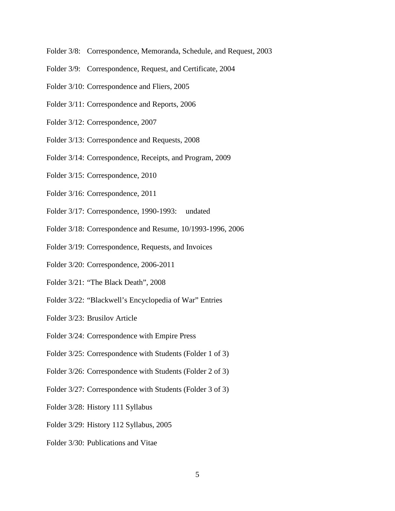- Folder 3/8: Correspondence, Memoranda, Schedule, and Request, 2003
- Folder 3/9: Correspondence, Request, and Certificate, 2004
- Folder 3/10: Correspondence and Fliers, 2005
- Folder 3/11: Correspondence and Reports, 2006
- Folder 3/12: Correspondence, 2007
- Folder 3/13: Correspondence and Requests, 2008
- Folder 3/14: Correspondence, Receipts, and Program, 2009
- Folder 3/15: Correspondence, 2010
- Folder 3/16: Correspondence, 2011
- Folder 3/17: Correspondence, 1990-1993: undated
- Folder 3/18: Correspondence and Resume, 10/1993-1996, 2006
- Folder 3/19: Correspondence, Requests, and Invoices
- Folder 3/20: Correspondence, 2006-2011
- Folder 3/21: "The Black Death", 2008
- Folder 3/22: "Blackwell's Encyclopedia of War" Entries
- Folder 3/23: Brusilov Article
- Folder 3/24: Correspondence with Empire Press
- Folder 3/25: Correspondence with Students (Folder 1 of 3)
- Folder 3/26: Correspondence with Students (Folder 2 of 3)
- Folder 3/27: Correspondence with Students (Folder 3 of 3)
- Folder 3/28: History 111 Syllabus
- Folder 3/29: History 112 Syllabus, 2005
- Folder 3/30: Publications and Vitae